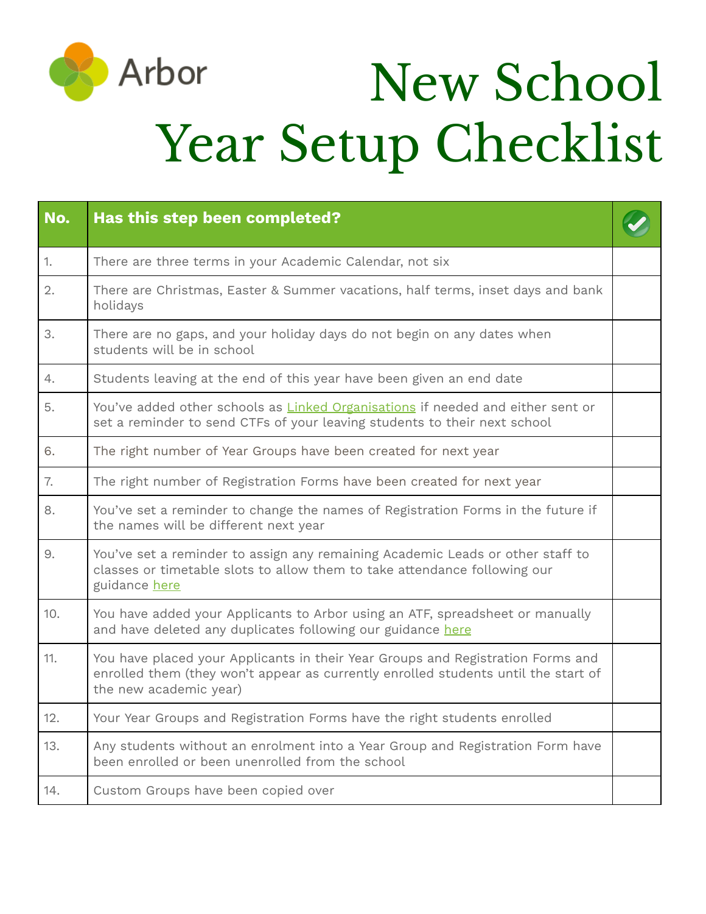

## New School Year Setup Checklist

| No. | Has this step been completed?                                                                                                                                                                   |  |
|-----|-------------------------------------------------------------------------------------------------------------------------------------------------------------------------------------------------|--|
| 1.  | There are three terms in your Academic Calendar, not six                                                                                                                                        |  |
| 2.  | There are Christmas, Easter & Summer vacations, half terms, inset days and bank<br>holidays                                                                                                     |  |
| 3.  | There are no gaps, and your holiday days do not begin on any dates when<br>students will be in school                                                                                           |  |
| 4.  | Students leaving at the end of this year have been given an end date                                                                                                                            |  |
| 5.  | You've added other schools as Linked Organisations if needed and either sent or<br>set a reminder to send CTFs of your leaving students to their next school                                    |  |
| 6.  | The right number of Year Groups have been created for next year                                                                                                                                 |  |
| 7.  | The right number of Registration Forms have been created for next year                                                                                                                          |  |
| 8.  | You've set a reminder to change the names of Registration Forms in the future if<br>the names will be different next year                                                                       |  |
| 9.  | You've set a reminder to assign any remaining Academic Leads or other staff to<br>classes or timetable slots to allow them to take attendance following our<br>guidance here                    |  |
| 10. | You have added your Applicants to Arbor using an ATF, spreadsheet or manually<br>and have deleted any duplicates following our guidance here                                                    |  |
| 11. | You have placed your Applicants in their Year Groups and Registration Forms and<br>enrolled them (they won't appear as currently enrolled students until the start of<br>the new academic year) |  |
| 12. | Your Year Groups and Registration Forms have the right students enrolled                                                                                                                        |  |
| 13. | Any students without an enrolment into a Year Group and Registration Form have<br>been enrolled or been unenrolled from the school                                                              |  |
| 14. | Custom Groups have been copied over                                                                                                                                                             |  |